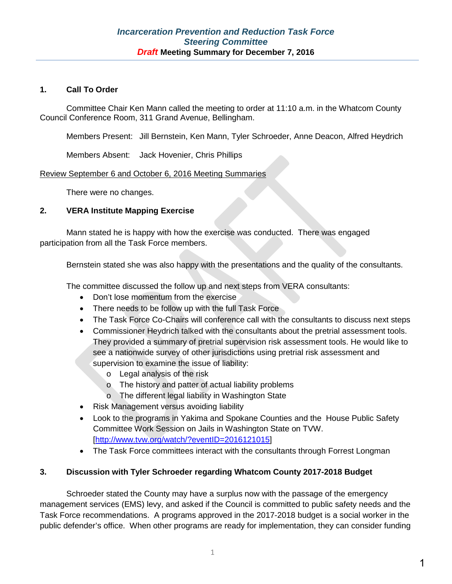### **1. Call To Order**

Committee Chair Ken Mann called the meeting to order at 11:10 a.m. in the Whatcom County Council Conference Room, 311 Grand Avenue, Bellingham.

Members Present: Jill Bernstein, Ken Mann, Tyler Schroeder, Anne Deacon, Alfred Heydrich

Members Absent: Jack Hovenier, Chris Phillips

#### Review September 6 and October 6, 2016 Meeting Summaries

There were no changes.

### **2. VERA Institute Mapping Exercise**

Mann stated he is happy with how the exercise was conducted. There was engaged participation from all the Task Force members.

Bernstein stated she was also happy with the presentations and the quality of the consultants.

The committee discussed the follow up and next steps from VERA consultants:

- Don't lose momentum from the exercise
- There needs to be follow up with the full Task Force
- The Task Force Co-Chairs will conference call with the consultants to discuss next steps
- Commissioner Heydrich talked with the consultants about the pretrial assessment tools. They provided a summary of pretrial supervision risk assessment tools. He would like to see a nationwide survey of other jurisdictions using pretrial risk assessment and supervision to examine the issue of liability:
	- o Legal analysis of the risk
	- o The history and patter of actual liability problems
	- o The different legal liability in Washington State
- Risk Management versus avoiding liability
- Look to the programs in Yakima and Spokane Counties and the House Public Safety Committee Work Session on Jails in Washington State on TVW. [\[http://www.tvw.org/watch/?eventID=2016121015\]](http://www.tvw.org/watch/?eventID=2016121015)
- The Task Force committees interact with the consultants through Forrest Longman

## **3. Discussion with Tyler Schroeder regarding Whatcom County 2017-2018 Budget**

Schroeder stated the County may have a surplus now with the passage of the emergency management services (EMS) levy, and asked if the Council is committed to public safety needs and the Task Force recommendations. A programs approved in the 2017-2018 budget is a social worker in the public defender's office. When other programs are ready for implementation, they can consider funding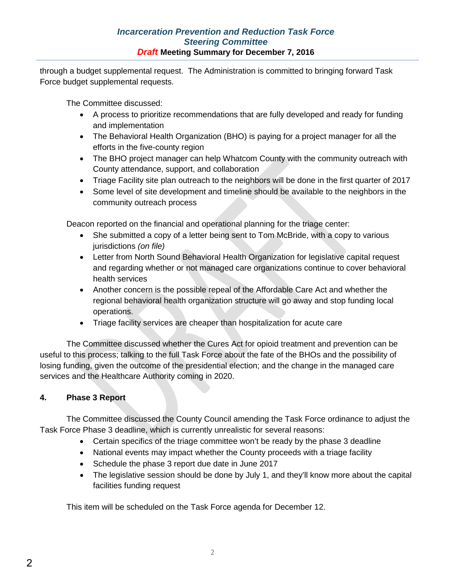## *Incarceration Prevention and Reduction Task Force Steering Committee Draft* **Meeting Summary for December 7, 2016**

through a budget supplemental request. The Administration is committed to bringing forward Task Force budget supplemental requests.

The Committee discussed:

- A process to prioritize recommendations that are fully developed and ready for funding and implementation
- The Behavioral Health Organization (BHO) is paying for a project manager for all the efforts in the five-county region
- The BHO project manager can help Whatcom County with the community outreach with County attendance, support, and collaboration
- Triage Facility site plan outreach to the neighbors will be done in the first quarter of 2017
- Some level of site development and timeline should be available to the neighbors in the community outreach process

Deacon reported on the financial and operational planning for the triage center:

- She submitted a copy of a letter being sent to Tom McBride, with a copy to various jurisdictions *(on file)*
- Letter from North Sound Behavioral Health Organization for legislative capital request and regarding whether or not managed care organizations continue to cover behavioral health services
- Another concern is the possible repeal of the Affordable Care Act and whether the regional behavioral health organization structure will go away and stop funding local operations.
- Triage facility services are cheaper than hospitalization for acute care

The Committee discussed whether the Cures Act for opioid treatment and prevention can be useful to this process; talking to the full Task Force about the fate of the BHOs and the possibility of losing funding, given the outcome of the presidential election; and the change in the managed care services and the Healthcare Authority coming in 2020.

## **4. Phase 3 Report**

The Committee discussed the County Council amending the Task Force ordinance to adjust the Task Force Phase 3 deadline, which is currently unrealistic for several reasons:

- Certain specifics of the triage committee won't be ready by the phase 3 deadline
- National events may impact whether the County proceeds with a triage facility
- Schedule the phase 3 report due date in June 2017
- The legislative session should be done by July 1, and they'll know more about the capital facilities funding request

This item will be scheduled on the Task Force agenda for December 12.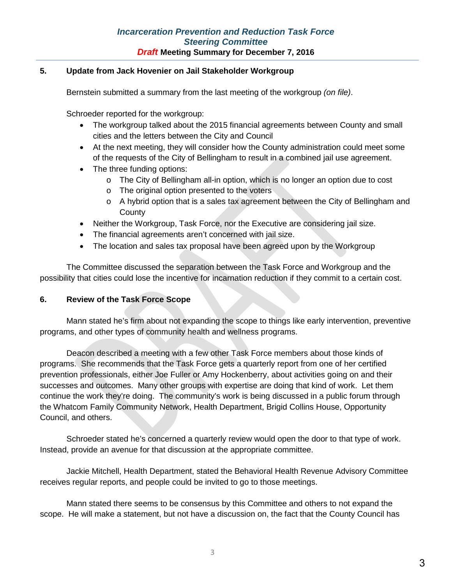## *Incarceration Prevention and Reduction Task Force Steering Committee Draft* **Meeting Summary for December 7, 2016**

## **5. Update from Jack Hovenier on Jail Stakeholder Workgroup**

Bernstein submitted a summary from the last meeting of the workgroup *(on file)*.

Schroeder reported for the workgroup:

- The workgroup talked about the 2015 financial agreements between County and small cities and the letters between the City and Council
- At the next meeting, they will consider how the County administration could meet some of the requests of the City of Bellingham to result in a combined jail use agreement.
- The three funding options:
	- $\circ$  The City of Bellingham all-in option, which is no longer an option due to cost
	- o The original option presented to the voters
	- o A hybrid option that is a sales tax agreement between the City of Bellingham and **County**
- Neither the Workgroup, Task Force, nor the Executive are considering jail size.
- The financial agreements aren't concerned with jail size.
- The location and sales tax proposal have been agreed upon by the Workgroup

The Committee discussed the separation between the Task Force and Workgroup and the possibility that cities could lose the incentive for incarnation reduction if they commit to a certain cost.

#### **6. Review of the Task Force Scope**

Mann stated he's firm about not expanding the scope to things like early intervention, preventive programs, and other types of community health and wellness programs.

Deacon described a meeting with a few other Task Force members about those kinds of programs. She recommends that the Task Force gets a quarterly report from one of her certified prevention professionals, either Joe Fuller or Amy Hockenberry, about activities going on and their successes and outcomes. Many other groups with expertise are doing that kind of work. Let them continue the work they're doing. The community's work is being discussed in a public forum through the Whatcom Family Community Network, Health Department, Brigid Collins House, Opportunity Council, and others.

Schroeder stated he's concerned a quarterly review would open the door to that type of work. Instead, provide an avenue for that discussion at the appropriate committee.

Jackie Mitchell, Health Department, stated the Behavioral Health Revenue Advisory Committee receives regular reports, and people could be invited to go to those meetings.

Mann stated there seems to be consensus by this Committee and others to not expand the scope. He will make a statement, but not have a discussion on, the fact that the County Council has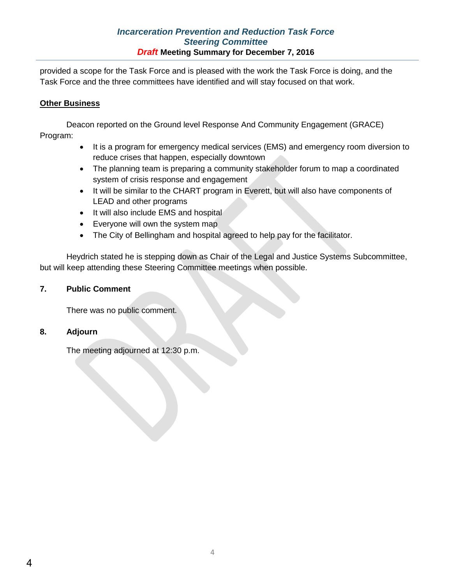## *Incarceration Prevention and Reduction Task Force Steering Committee Draft* **Meeting Summary for December 7, 2016**

provided a scope for the Task Force and is pleased with the work the Task Force is doing, and the Task Force and the three committees have identified and will stay focused on that work.

## **Other Business**

Deacon reported on the Ground level Response And Community Engagement (GRACE) Program:

- It is a program for emergency medical services (EMS) and emergency room diversion to reduce crises that happen, especially downtown
- The planning team is preparing a community stakeholder forum to map a coordinated system of crisis response and engagement
- It will be similar to the CHART program in Everett, but will also have components of LEAD and other programs
- It will also include EMS and hospital
- Everyone will own the system map
- The City of Bellingham and hospital agreed to help pay for the facilitator.

Heydrich stated he is stepping down as Chair of the Legal and Justice Systems Subcommittee, but will keep attending these Steering Committee meetings when possible.

### **7. Public Comment**

There was no public comment.

#### **8. Adjourn**

The meeting adjourned at 12:30 p.m.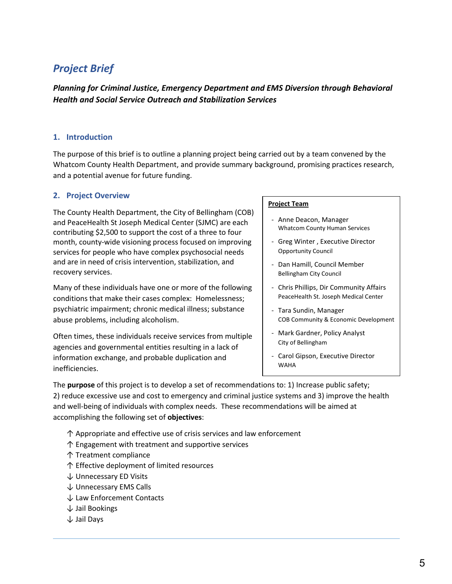# *Project Brief*

*Planning for Criminal Justice, Emergency Department and EMS Diversion through Behavioral Health and Social Service Outreach and Stabilization Services* 

#### **1. Introduction**

The purpose of this brief is to outline a planning project being carried out by a team convened by the Whatcom County Health Department, and provide summary background, promising practices research, and a potential avenue for future funding.

#### **2. Project Overview**

The County Health Department, the City of Bellingham (COB) and PeaceHealth St Joseph Medical Center (SJMC) are each contributing \$2,500 to support the cost of a three to four month, county-wide visioning process focused on improving services for people who have complex psychosocial needs and are in need of crisis intervention, stabilization, and recovery services.

Many of these individuals have one or more of the following conditions that make their cases complex: Homelessness; psychiatric impairment; chronic medical illness; substance abuse problems, including alcoholism.

Often times, these individuals receive services from multiple agencies and governmental entities resulting in a lack of information exchange, and probable duplication and inefficiencies.

#### **Project Team**

- Anne Deacon, Manager Whatcom County Human Services
- Greg Winter , Executive Director Opportunity Council
- Dan Hamill, Council Member Bellingham City Council
- Chris Phillips, Dir Community Affairs PeaceHealth St. Joseph Medical Center
- Tara Sundin, Manager COB Community & Economic Development
- Mark Gardner, Policy Analyst City of Bellingham
- Carol Gipson, Executive Director WAHA

The **purpose** of this project is to develop a set of recommendations to: 1) Increase public safety; 2) reduce excessive use and cost to emergency and criminal justice systems and 3) improve the health and well-being of individuals with complex needs. These recommendations will be aimed at accomplishing the following set of **objectives**:

- ↑ Appropriate and effective use of crisis services and law enforcement
- ↑ Engagement with treatment and supportive services
- ↑ Treatment compliance
- ↑ Effective deployment of limited resources
- ↓ Unnecessary ED Visits
- ↓ Unnecessary EMS Calls
- ↓ Law Enforcement Contacts
- ↓ Jail Bookings
- ↓ Jail Days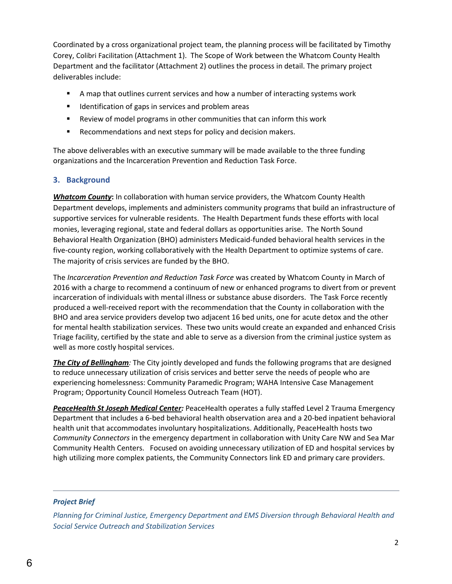Coordinated by a cross organizational project team, the planning process will be facilitated by Timothy Corey, Colibri Facilitation (Attachment 1). The Scope of Work between the Whatcom County Health Department and the facilitator (Attachment 2) outlines the process in detail. The primary project deliverables include:

- A map that outlines current services and how a number of interacting systems work
- **IDENTIFICATE:** Identification of gaps in services and problem areas
- Review of model programs in other communities that can inform this work
- Recommendations and next steps for policy and decision makers.

The above deliverables with an executive summary will be made available to the three funding organizations and the Incarceration Prevention and Reduction Task Force.

### **3. Background**

*Whatcom County***:** In collaboration with human service providers, the Whatcom County Health Department develops, implements and administers community programs that build an infrastructure of supportive services for vulnerable residents. The Health Department funds these efforts with local monies, leveraging regional, state and federal dollars as opportunities arise. The North Sound Behavioral Health Organization (BHO) administers Medicaid-funded behavioral health services in the five-county region, working collaboratively with the Health Department to optimize systems of care. The majority of crisis services are funded by the BHO.

The *Incarceration Prevention and Reduction Task Force* was created by Whatcom County in March of 2016 with a charge to recommend a continuum of new or enhanced programs to divert from or prevent incarceration of individuals with mental illness or substance abuse disorders. The Task Force recently produced a well-received report with the recommendation that the County in collaboration with the BHO and area service providers develop two adjacent 16 bed units, one for acute detox and the other for mental health stabilization services. These two units would create an expanded and enhanced Crisis Triage facility, certified by the state and able to serve as a diversion from the criminal justice system as well as more costly hospital services.

*The City of Bellingham:* The City jointly developed and funds the following programs that are designed to reduce unnecessary utilization of crisis services and better serve the needs of people who are experiencing homelessness: Community Paramedic Program; WAHA Intensive Case Management Program; Opportunity Council Homeless Outreach Team (HOT).

*PeaceHealth St Joseph Medical Center:* PeaceHealth operates a fully staffed Level 2 Trauma Emergency Department that includes a 6-bed behavioral health observation area and a 20-bed inpatient behavioral health unit that accommodates involuntary hospitalizations. Additionally, PeaceHealth hosts two *Community Connectors* in the emergency department in collaboration with Unity Care NW and Sea Mar Community Health Centers. Focused on avoiding unnecessary utilization of ED and hospital services by high utilizing more complex patients, the Community Connectors link ED and primary care providers.

#### *Project Brief*

*Planning for Criminal Justice, Emergency Department and EMS Diversion through Behavioral Health and Social Service Outreach and Stabilization Services* 

6